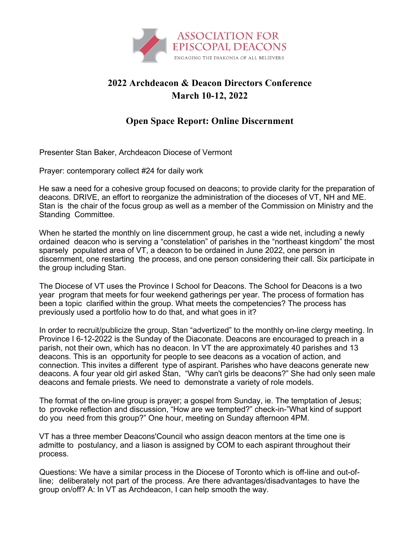

## **2022 Archdeacon & Deacon Directors Conference March 10-12, 2022**

## **Open Space Report: Online Discernment**

Presenter Stan Baker, Archdeacon Diocese of Vermont

Prayer: contemporary collect #24 for daily work

He saw a need for a cohesive group focused on deacons; to provide clarity for the preparation of deacons. DRIVE, an effort to reorganize the administration of the dioceses of VT, NH and ME. Stan is the chair of the focus group as well as a member of the Commission on Ministry and the Standing Committee.

When he started the monthly on line discernment group, he cast a wide net, including a newly ordained deacon who is serving a "constelation" of parishes in the "northeast kingdom" the most sparsely populated area of VT, a deacon to be ordained in June 2022, one person in discernment, one restarting the process, and one person considering their call. Six participate in the group including Stan.

The Diocese of VT uses the Province I School for Deacons. The School for Deacons is a two year program that meets for four weekend gatherings per year. The process of formation has been a topic clarified within the group. What meets the competencies? The process has previously used a portfolio how to do that, and what goes in it?

In order to recruit/publicize the group, Stan "advertized" to the monthly on-line clergy meeting. In Province I 6-12-2022 is the Sunday of the Diaconate. Deacons are encouraged to preach in a parish, not their own, which has no deacon. In VT the are approximately 40 parishes and 13 deacons. This is an opportunity for people to see deacons as a vocation of action, and connection. This invites a different type of aspirant. Parishes who have deacons generate new deacons. A four year old girl asked Stan, "Why can't girls be deacons?" She had only seen male deacons and female priests. We need to demonstrate a variety of role models.

The format of the on-line group is prayer; a gospel from Sunday, ie. The temptation of Jesus; to provoke reflection and discussion, "How are we tempted?" check-in-"What kind of support do you need from this group?" One hour, meeting on Sunday afternoon 4PM.

VT has a three member Deacons'Council who assign deacon mentors at the time one is admitte to postulancy, and a liason is assigned by COM to each aspirant throughout their process.

Questions: We have a similar process in the Diocese of Toronto which is off-line and out-ofline; deliberately not part of the process. Are there advantages/disadvantages to have the group on/off? A: In VT as Archdeacon, I can help smooth the way.